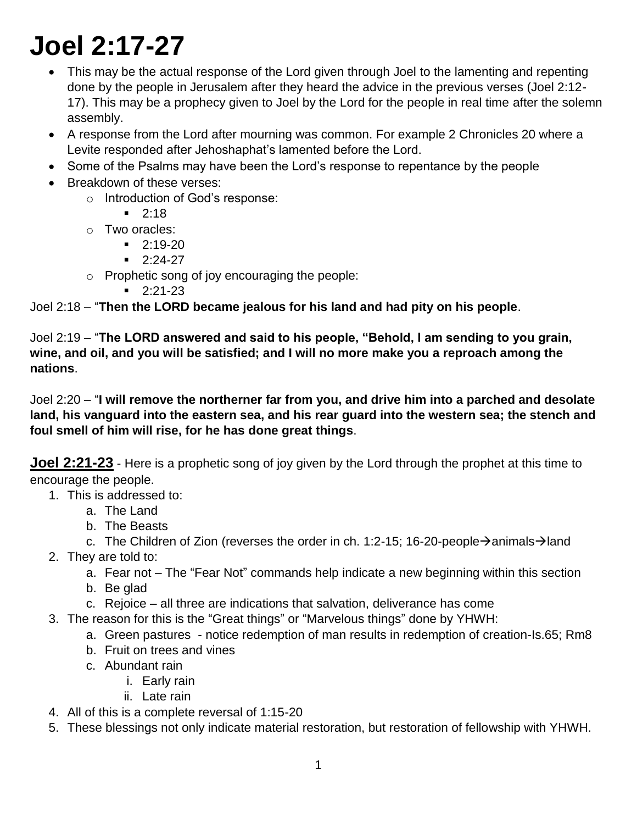# **Joel 2:17-27**

- This may be the actual response of the Lord given through Joel to the lamenting and repenting done by the people in Jerusalem after they heard the advice in the previous verses (Joel 2:12- 17). This may be a prophecy given to Joel by the Lord for the people in real time after the solemn assembly.
- A response from the Lord after mourning was common. For example 2 Chronicles 20 where a Levite responded after Jehoshaphat's lamented before the Lord.
- Some of the Psalms may have been the Lord's response to repentance by the people
- Breakdown of these verses:
	- o Introduction of God's response:
		- $-2:18$
	- o Two oracles:
		- $-2:19-20$
		- $-2:24-27$
	- o Prophetic song of joy encouraging the people:
		- $-2:21-23$

Joel 2:18 – "**Then the LORD became jealous for his land and had pity on his people**.

Joel 2:19 – "**The LORD answered and said to his people, "Behold, I am sending to you grain, wine, and oil, and you will be satisfied; and I will no more make you a reproach among the nations**.

Joel 2:20 – "**I will remove the northerner far from you, and drive him into a parched and desolate land, his vanguard into the eastern sea, and his rear guard into the western sea; the stench and foul smell of him will rise, for he has done great things**.

**Joel 2:21-23** - Here is a prophetic song of joy given by the Lord through the prophet at this time to encourage the people.

- 1. This is addressed to:
	- a. The Land
	- b. The Beasts
	- c. The Children of Zion (reverses the order in ch. 1:2-15; 16-20-people  $\rightarrow$  animals  $\rightarrow$  land
- 2. They are told to:
	- a. Fear not The "Fear Not" commands help indicate a new beginning within this section
	- b. Be glad
	- c. Rejoice all three are indications that salvation, deliverance has come
- 3. The reason for this is the "Great things" or "Marvelous things" done by YHWH:
	- a. Green pastures notice redemption of man results in redemption of creation-Is.65; Rm8
	- b. Fruit on trees and vines
	- c. Abundant rain
		- i. Early rain
			- ii. Late rain
- 4. All of this is a complete reversal of 1:15-20
- 5. These blessings not only indicate material restoration, but restoration of fellowship with YHWH.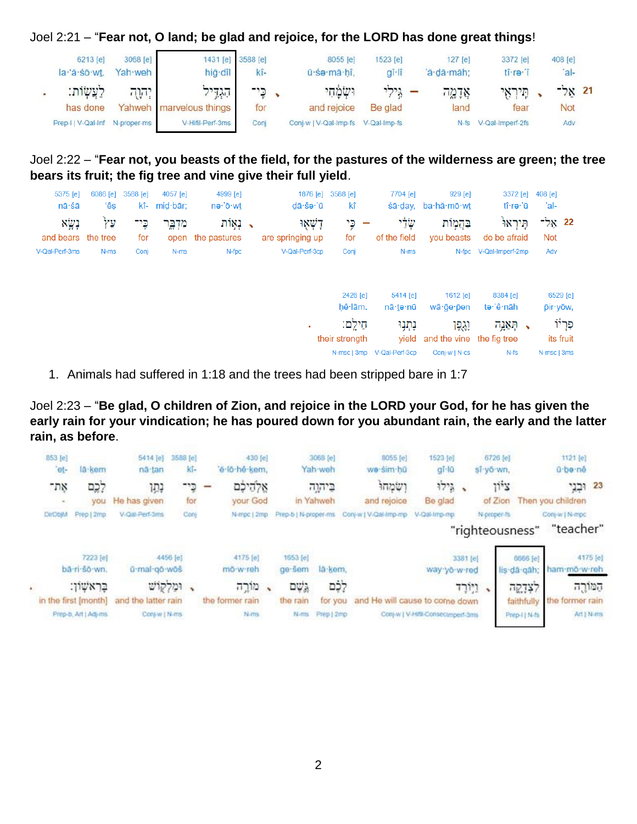Joel 2:21 – "**Fear not, O land; be glad and rejoice, for the LORD has done great things**!

| 6213 [e]<br>la 'ă sō wt.                   | 3068 [e]<br>Yah weh | hig dîl                                     | 1431 [e] 3588 [e]<br>kî- | 8055 [e]<br>ū śa mā hî.                           | 1523 [e]<br>$q_i$ -lî          | $127$ [e]<br>a·dā·māh: | 3372 [e]<br>tî re î           | 408 [e]<br>$ a $ - |  |
|--------------------------------------------|---------------------|---------------------------------------------|--------------------------|---------------------------------------------------|--------------------------------|------------------------|-------------------------------|--------------------|--|
| לעשות:                                     | יהוה                | הגדיל                                       | כֵי־                     | וּשָׂמַחִי                                        | $\mathbf{r}$ גילי $\mathbf{r}$ | אַדָמֱה                | תיראי                         | 21 אל־             |  |
| has done<br>Prep-I   V-Qal-Inf N-proper-ms |                     | Yahweh marvelous things<br>V-Hifil-Perf-3ms | for<br>Conj              | and rejoice<br>Conj-w   V-Qal-Imp-fs V-Qal-Imp-fs | Be glad                        | land                   | fear<br>N-fs V-Qal-Imperf-2fs | Not<br>Adv         |  |

Joel 2:22 – "**Fear not, you beasts of the field, for the pastures of the wilderness are green; the tree bears its fruit; the fig tree and vine give their full yield**.

| 5375 [e]           | 6086 [e] | 3588 [e] | 4057 [e] | 4999 [e]          |                                        | 1876 [e] 3588 [e]   | 7704 [e]                   | 929 [e]                         | 3372 [e]               | 408 [e]     |                      |
|--------------------|----------|----------|----------|-------------------|----------------------------------------|---------------------|----------------------------|---------------------------------|------------------------|-------------|----------------------|
| nā śā              | ʻêş      | kî-      | mid·bār: | nə∙'ō·wt          | $d\bar{a}\cdot \tilde{s}$ ə $\cdot$ 'ū | kî                  |                            | śā·day, ba·hă·mō·wt             | tî∙rə∙'ū               | 'al-        |                      |
| נְשֶׁא             | Ϋ́У      | כֶּי־    | מִדְבֱר  | ַ, נְאֲוֹת        | דַשְׁאָוּ                              | כֵּי                | שָׂלַי                     | בַּהֲמָוֹת                      | תֵּירְאוֹ              | 22 אַל־     |                      |
| and bears the tree |          | for      |          | open the pastures | are springing up                       | for                 | of the field               | you beasts                      | do be afraid           | <b>Not</b>  |                      |
| V-Qal-Perf-3ms     | N-ms     | Conj     | N-ms     | N-fpc             | V-Qal-Perf-3cp                         | Conj                | N-ms                       |                                 | N-fpc V-Qal-Imperf-2mp | Adv         |                      |
|                    |          |          |          |                   |                                        | 2426 [e]<br>hê lām. | 5414 [e]<br>nā∙te∙nū       | 1612 [e]<br>wā·ge·pen           | 8384 [e]<br>te·'ê·nāh  |             | 6529 [e]<br>pir yow, |
|                    |          |          |          |                   | ٠                                      | חֵילֵם:             | נְתְנִוּ                   | ݧݧݡݬ                            | ָהְאֵנְה $\cdot$       |             | פְּרְיוֹ             |
|                    |          |          |          |                   |                                        | their strength      |                            | yield and the vine the fig tree |                        |             | its fruit            |
|                    |          |          |          |                   |                                        |                     | N-msc   3mp V-Qal-Perf-3cp | Conj-w   N-cs                   | $N-fs$                 | N-msc   3ms |                      |

1. Animals had suffered in 1:18 and the trees had been stripped bare in 1:7

Joel 2:23 – "**Be glad, O children of Zion, and rejoice in the LORD your God, for he has given the early rain for your vindication; he has poured down for you abundant rain, the early and the latter rain, as before**.

| 853 [e]<br>et- | la kem                                        | 5414 [e]<br>nä tan                   | 3588 [e]<br>kī- | e-lo-hê-kem,    | 430 [e]                |                      | 3068 [e]<br>Yah-weh   | 8055 [e]<br>we sim hû          | 1523 [e]<br>gī-lū                 |                    | 6726 [e]<br>si yo wn. |                             | 1121 [e]<br>ű-be-né             |            |
|----------------|-----------------------------------------------|--------------------------------------|-----------------|-----------------|------------------------|----------------------|-----------------------|--------------------------------|-----------------------------------|--------------------|-----------------------|-----------------------------|---------------------------------|------------|
| את־<br>$\sim$  | לִכֶם<br>you                                  | נתו<br>He has given                  | כי־<br>for      |                 | אַלְהִיכָם<br>your God |                      | ביהוה<br>in Yahweh    | ושמחו<br>and rejoice           | 12.7<br>Be glad                   |                    | Ti's<br>of Zion       |                             | 23 וּבְנֵי<br>Then you children |            |
| DirObjM        | Prep   2mp                                    | V-Qal-Perf-3ms                       | Conj            |                 | N-mpc   2mp            | Prep-b   N-proper-ms |                       | Conj-w   V-Qal-Imp-mp          | V-Qal-Imp-mp                      |                    | N-proper-fs           | "righteousness"             | Conj-w   N-mpc<br>"teacher"     |            |
|                | 7223 [e]                                      |                                      | 4456 [e]        |                 | 4175 [e]               | 1653 [e]             |                       |                                | 3381 [e]                          |                    |                       | 6666 [e]                    |                                 | 4175 [e]   |
|                | bā-ri-šō-wn.<br>בראשון:                       | ú-mal-gö-wös<br>ומלקוש               |                 | mo-w-reh        | מורה<br>$\ddot{}$      | ge-sem<br>גְשֶׁם     | lä kem.<br>לֶם        |                                | way yo w red                      | ויירד<br>$\lambda$ |                       | lis-dà gah;<br>לצְדֶקֶה     | ham-mo-w-reh                    | המורה      |
|                | in the first [month]<br>Prep-b, Art   Adj-ms. | and the latter rain<br>Conj-w   N-ms |                 | the former rain | N <sub>ims</sub>       | the rain<br>N-ms     | for you<br>Prep   2mp | and He will cause to come down | Conj-w   V-Hifli-Consecumpent-3ms |                    |                       | faithfully<br>Prep-I   N-fs | the former rain                 | Art   N-ms |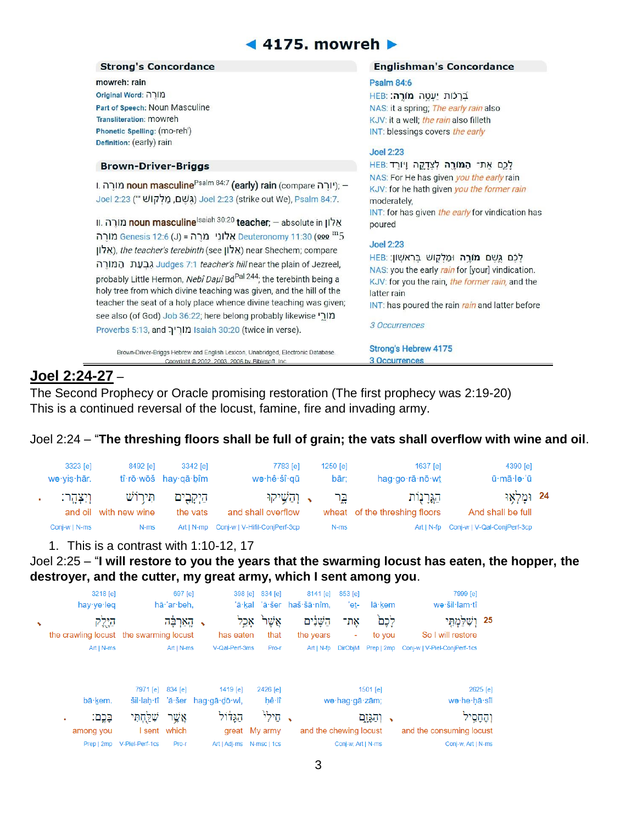# $\triangleleft$  4175. mowreh  $\triangleright$

#### **Strong's Concordance**

mowreh: rain מורה: Original Word Part of Speech: Noun Masculine Transliteration: mowreh Phonetic Spelling: (mo-reh') Definition: (early) rain

### **Brown-Driver-Briggs**

ורה ווה noun masculine<sup>Psalm 84:7</sup> (early) rain (compare מורה); -Joel 2:23 (strike out We), Psalm 84:7.

ון. חובה ווה noun masculine<sup>lsaiah 30:20</sup> teacher; – absolute in אֲלון 2<sup>m</sup>5 (J) = בון Deuteronomy 11:30 (200 m5 מורָה (אלון), the teacher's terebinth (see (אלון) near Shechem; compare Judges 7:1 teacher's hill near the plain of Jezreel, probably Little Hermon, Nebî Daµî Bd<sup>Pal 244</sup>; the terebinth being a holy tree from which divine teaching was given, and the hill of the teacher the seat of a holy place whence divine teaching was given; see also (of God) Job 36:22; here belong probably likewise מורֵי Proverbs 5:13, and מוריך Isaiah 30:20 (twice in verse).

Brown-Driver-Briggs Hebrew and English Lexicon, Unabridged, Electronic Database. Convright © 2002 2003 2006 by Biblesoft Inc.

#### **Englishman's Concordance**

#### **Psalm 84:6**

בְּרַכּוֹת יַעְטֶה **מורֵה:** NAS: it a spring; The early rain also KJV: it a well; the rain also filleth INT: blessings covers the early

#### **Joel 2:23**

לכם את המורה לצדקה ויורד:HEB NAS: For He has given you the early rain KJV: for he hath given you the former rain moderately, INT: for has given the early for vindication has poured

#### **Joel 2:23**

לְכֶם גֶשֶׁם מוֹרֶה וּמַלְקָוֹשׁ בָּרְאֹשְׁוֹן: HEB NAS: you the early rain for [your] vindication. KJV: for you the rain, the former rain, and the latter rain INT: has poured the rain rain and latter before

3 Occurrences

**Strong's Hebrew 4175** 3 Occurrences

# **Joel 2:24-27** –

The Second Prophecy or Oracle promising restoration (The first prophecy was 2:19-20) This is a continued reversal of the locust, famine, fire and invading army.

## Joel 2:24 – "**The threshing floors shall be full of grain; the vats shall overflow with wine and oil**.

| 3323 [e]<br>wə∙yis∙hār. | 8492 [e]                            | 3342 lel<br>tî·rō·wōš hay·qā·bîm | 7783 [e]<br>wə∙hê∙šî∙gū                      | $1250$ [e]<br>bār: | 1637 <b>[e]</b><br>hag.go.rā.nō.wt      | 4390 [e]<br>ū·mā·le·'ū            |  |
|-------------------------|-------------------------------------|----------------------------------|----------------------------------------------|--------------------|-----------------------------------------|-----------------------------------|--|
| וִיִצְהָר:              | תִּיְרוֹשׁ<br>and oil with new wine | הַיִקְבִים<br>the vats           | ר וְהֵשֵׁיקוּ <b>,</b><br>and shall overflow | בֵּר               | הגרוות<br>wheat of the threshing floors | 24 וּמַלְאוּ<br>And shall be full |  |
| Conj-w   N-ms           | N-ms                                |                                  | Art   N-mp Conj-w   V-Hifil-ConjPerf-3cp     | N-ms               | Art I N-fp                              | Conj-w   V-Qal-ConjPerf-3cp       |  |

## 1. This is a contrast with 1:10-12, 17

Joel 2:25 – "**I will restore to you the years that the swarming locust has eaten, the hopper, the destroyer, and the cutter, my great army, which I sent among you**.

|   | 3218 [e]                                |                 | 697 [e]      | 398 [e]              | 834 [e]         | 8141 [e]                  | 853 [e]            |                             | 7999 [e]                     |           |
|---|-----------------------------------------|-----------------|--------------|----------------------|-----------------|---------------------------|--------------------|-----------------------------|------------------------------|-----------|
|   | hay $ye$ leq                            |                 | hā·'ar·beh,  |                      |                 | 'ā·kal 'ă·šer haš·šā·nîm, | 'eṯ-               | lā·kem                      | we·šil·lam·tî                |           |
| ٠ | הילק                                    |                 | קאַרְבֶּה    |                      | אֲשֶׁר<br>אָכְל | השנים                     | אָת־               | לְכָם                       | 25 וְשָׁלַמְתִּי             |           |
|   | the crawling locust the swarming locust |                 |              | has eaten            | that            | the years                 | ٠                  | to you                      | So I will restore            |           |
|   | $Art   N-ms$                            |                 | $Art   N-ms$ | V-Qal-Perf-3ms       | Pro-r           | $Art   N-fp$              | <b>DirObjM</b>     | Prep   2mp                  | Conj-w   V-Piel-ConjPerf-1cs |           |
|   |                                         |                 |              |                      |                 |                           |                    |                             |                              |           |
|   |                                         | 7971 [e]        | 834 [e]      | 1419 [e]             | 2426 [e]        |                           |                    | 1501 [e]                    |                              | 2625 [e]  |
|   | bā·kem.                                 | šil·lah·tî      |              | 'ă·šer hag·gā·dō·wl, | hê lî           |                           | we·hag·gā·zām;     | we he ha sîl                |                              |           |
|   | בֶּכֶם:<br>٠                            | שלחתי           | אָשֶׁר       | הגלול                | חֵילִי          | $\mathbf{v}$              |                    | וְהַגְּזֶם<br>$\rightarrow$ |                              | וְהֶחָסִי |
|   | among you                               | sent            | which        | great                | My army         | and the chewing locust    |                    |                             | and the consuming locust     |           |
|   | Prep   2mp                              | V-Piel-Perf-1cs | Pro-r        | Art   Adj-ms         | N-msc   1cs     |                           | Conj-w, Art   N-ms |                             | Conj-w, Art   N-ms           |           |